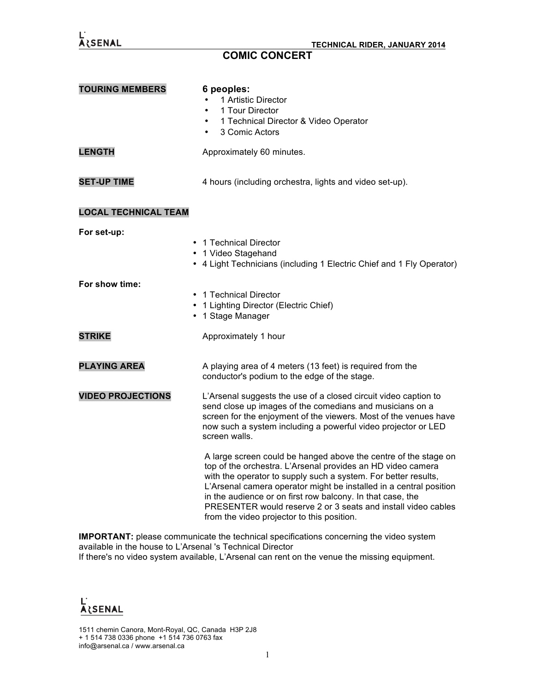

## **COMIC CONCERT**

| <b>TOURING MEMBERS</b>      | 6 peoples:<br>1 Artistic Director<br>1 Tour Director<br>1 Technical Director & Video Operator<br>$\bullet$<br>3 Comic Actors<br>$\bullet$                                                                                                                                                                                                                                                                                                           |
|-----------------------------|-----------------------------------------------------------------------------------------------------------------------------------------------------------------------------------------------------------------------------------------------------------------------------------------------------------------------------------------------------------------------------------------------------------------------------------------------------|
| <b>LENGTH</b>               | Approximately 60 minutes.                                                                                                                                                                                                                                                                                                                                                                                                                           |
| <b>SET-UP TIME</b>          | 4 hours (including orchestra, lights and video set-up).                                                                                                                                                                                                                                                                                                                                                                                             |
| <b>LOCAL TECHNICAL TEAM</b> |                                                                                                                                                                                                                                                                                                                                                                                                                                                     |
| For set-up:                 | 1 Technical Director<br>1 Video Stagehand<br>• 4 Light Technicians (including 1 Electric Chief and 1 Fly Operator)                                                                                                                                                                                                                                                                                                                                  |
| For show time:              | • 1 Technical Director<br>1 Lighting Director (Electric Chief)<br>1 Stage Manager                                                                                                                                                                                                                                                                                                                                                                   |
| <b>STRIKE</b>               | Approximately 1 hour                                                                                                                                                                                                                                                                                                                                                                                                                                |
| <b>PLAYING AREA</b>         | A playing area of 4 meters (13 feet) is required from the<br>conductor's podium to the edge of the stage.                                                                                                                                                                                                                                                                                                                                           |
| <b>VIDEO PROJECTIONS</b>    | L'Arsenal suggests the use of a closed circuit video caption to<br>send close up images of the comedians and musicians on a<br>screen for the enjoyment of the viewers. Most of the venues have<br>now such a system including a powerful video projector or LED<br>screen walls.                                                                                                                                                                   |
|                             | A large screen could be hanged above the centre of the stage on<br>top of the orchestra. L'Arsenal provides an HD video camera<br>with the operator to supply such a system. For better results,<br>L'Arsenal camera operator might be installed in a central position<br>in the audience or on first row balcony. In that case, the<br>PRESENTER would reserve 2 or 3 seats and install video cables<br>from the video projector to this position. |

**IMPORTANT:** please communicate the technical specifications concerning the video system available in the house to L'Arsenal 's Technical Director If there's no video system available, L'Arsenal can rent on the venue the missing equipment.



1511 chemin Canora, Mont-Royal, QC, Canada H3P 2J8 + 1 514 738 0336 phone +1 514 736 0763 fax info@arsenal.ca / www.arsenal.ca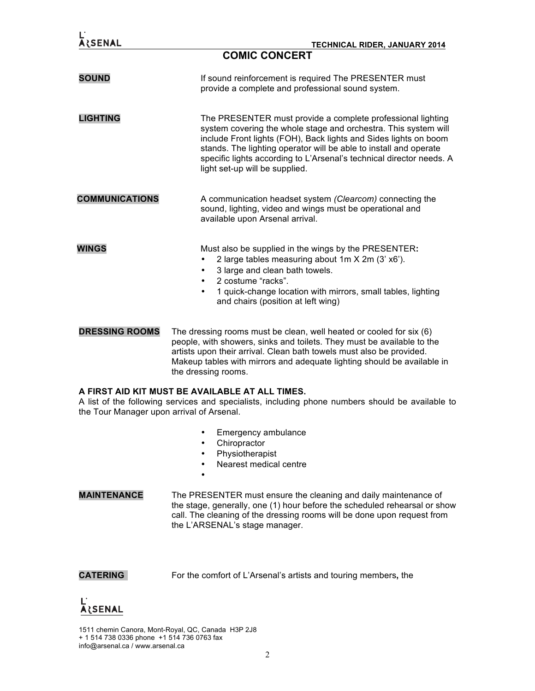| <b>ARSENAL</b>                                                                                                                                                                                   | <b>TECHNICAL RIDER, JANUARY 2014</b><br><b>COMIC CONCERT</b>                                                                                                                                                                                                                                                                                                                      |
|--------------------------------------------------------------------------------------------------------------------------------------------------------------------------------------------------|-----------------------------------------------------------------------------------------------------------------------------------------------------------------------------------------------------------------------------------------------------------------------------------------------------------------------------------------------------------------------------------|
| <b>SOUND</b>                                                                                                                                                                                     | If sound reinforcement is required The PRESENTER must<br>provide a complete and professional sound system.                                                                                                                                                                                                                                                                        |
| <b>LIGHTING</b>                                                                                                                                                                                  | The PRESENTER must provide a complete professional lighting<br>system covering the whole stage and orchestra. This system will<br>include Front lights (FOH), Back lights and Sides lights on boom<br>stands. The lighting operator will be able to install and operate<br>specific lights according to L'Arsenal's technical director needs. A<br>light set-up will be supplied. |
| <b>COMMUNICATIONS</b>                                                                                                                                                                            | A communication headset system (Clearcom) connecting the<br>sound, lighting, video and wings must be operational and<br>available upon Arsenal arrival.                                                                                                                                                                                                                           |
| <b>WINGS</b>                                                                                                                                                                                     | Must also be supplied in the wings by the PRESENTER:<br>2 large tables measuring about 1m X 2m (3' x6').<br>3 large and clean bath towels.<br>٠<br>2 costume "racks".<br>$\bullet$<br>1 quick-change location with mirrors, small tables, lighting<br>$\bullet$<br>and chairs (position at left wing)                                                                             |
| <b>DRESSING ROOMS</b>                                                                                                                                                                            | The dressing rooms must be clean, well heated or cooled for six (6)<br>people, with showers, sinks and toilets. They must be available to the<br>artists upon their arrival. Clean bath towels must also be provided.<br>Makeup tables with mirrors and adequate lighting should be available in<br>the dressing rooms.                                                           |
| A FIRST AID KIT MUST BE AVAILABLE AT ALL TIMES.<br>A list of the following services and specialists, including phone numbers should be available to<br>the Tour Manager upon arrival of Arsenal. |                                                                                                                                                                                                                                                                                                                                                                                   |
| <b>MAINTENANCE</b>                                                                                                                                                                               | Emergency ambulance<br>Chiropractor<br>٠<br>Physiotherapist<br>٠<br>Nearest medical centre<br>$\bullet$<br>The PRESENTER must ensure the cleaning and daily maintenance of<br>the stage, generally, one (1) hour before the scheduled rehearsal or show<br>call. The cleaning of the dressing rooms will be done upon request from                                                |
| <b>CATERING</b>                                                                                                                                                                                  | the L'ARSENAL's stage manager.<br>For the comfort of L'Arsenal's artists and touring members, the                                                                                                                                                                                                                                                                                 |

## L'<br>Alsenal

1511 chemin Canora, Mont-Royal, QC, Canada H3P 2J8 + 1 514 738 0336 phone +1 514 736 0763 fax info@arsenal.ca / www.arsenal.ca